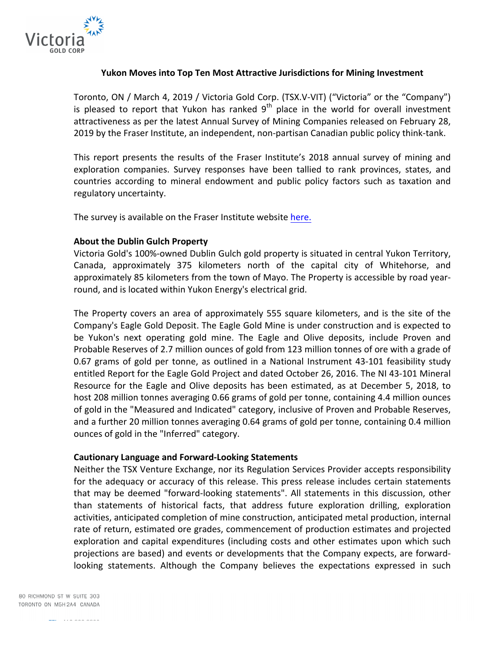

## **Yukon Moves into Top Ten Most Attractive Jurisdictions for Mining Investment**

Toronto, ON / March 4, 2019 / Victoria Gold Corp. (TSX.V-VIT) ("Victoria" or the "Company") is pleased to report that Yukon has ranked  $9<sup>th</sup>$  place in the world for overall investment attractiveness as per the latest Annual Survey of Mining Companies released on February 28, 2019 by the Fraser Institute, an independent, non-partisan Canadian public policy think-tank.

This report presents the results of the Fraser Institute's 2018 annual survey of mining and exploration companies. Survey responses have been tallied to rank provinces, states, and countries according to mineral endowment and public policy factors such as taxation and regulatory uncertainty.

The survey is available on the Fraser Institute website here.

## **About the Dublin Gulch Property**

Victoria Gold's 100%-owned Dublin Gulch gold property is situated in central Yukon Territory, Canada, approximately 375 kilometers north of the capital city of Whitehorse, and approximately 85 kilometers from the town of Mayo. The Property is accessible by road yearround, and is located within Yukon Energy's electrical grid.

The Property covers an area of approximately 555 square kilometers, and is the site of the Company's Eagle Gold Deposit. The Eagle Gold Mine is under construction and is expected to be Yukon's next operating gold mine. The Eagle and Olive deposits, include Proven and Probable Reserves of 2.7 million ounces of gold from 123 million tonnes of ore with a grade of 0.67 grams of gold per tonne, as outlined in a National Instrument 43-101 feasibility study entitled Report for the Eagle Gold Project and dated October 26, 2016. The NI 43-101 Mineral Resource for the Eagle and Olive deposits has been estimated, as at December 5, 2018, to host 208 million tonnes averaging 0.66 grams of gold per tonne, containing 4.4 million ounces of gold in the "Measured and Indicated" category, inclusive of Proven and Probable Reserves, and a further 20 million tonnes averaging 0.64 grams of gold per tonne, containing 0.4 million ounces of gold in the "Inferred" category.

## **Cautionary Language and Forward-Looking Statements**

Neither the TSX Venture Exchange, nor its Regulation Services Provider accepts responsibility for the adequacy or accuracy of this release. This press release includes certain statements that may be deemed "forward-looking statements". All statements in this discussion, other than statements of historical facts, that address future exploration drilling, exploration activities, anticipated completion of mine construction, anticipated metal production, internal rate of return, estimated ore grades, commencement of production estimates and projected exploration and capital expenditures (including costs and other estimates upon which such projections are based) and events or developments that the Company expects, are forwardlooking statements. Although the Company believes the expectations expressed in such

80 RICHMOND ST W SUITE 303 TORONTO ON M5H2A4 CANADA